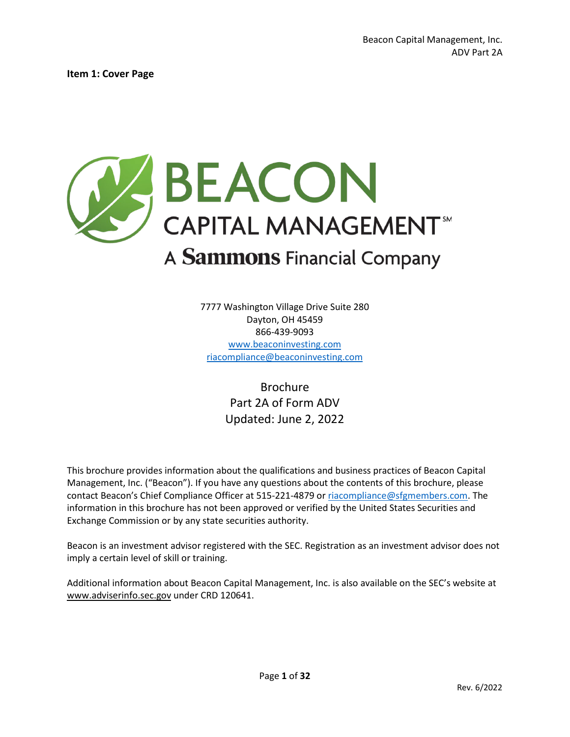<span id="page-0-0"></span>**Item 1: Cover Page** 



7777 Washington Village Drive Suite 280 Dayton, OH 45459 866-439-9093 [www.beaconinvesting.com](http://www.beaconinvesting.com/) [riacompliance@beaconinvesting.com](mailto:riacompliance@beaconinvesting.com) 

> Brochure Part 2A of Form ADV Updated: June 2, 2022

This brochure provides information about the qualifications and business practices of Beacon Capital Management, Inc. ("Beacon"). If you have any questions about the contents of this brochure, please contact Beacon's Chief Compliance Officer at 515-221-4879 o[r riacompliance@sfgmembers.com.](mailto:riacompliance@sfgmembers.com) The information in this brochure has not been approved or verified by the United States Securities and Exchange Commission or by any state securities authority.

Beacon is an investment advisor registered with the SEC. Registration as an investment advisor does not imply a certain level of skill or training.

Additional information about Beacon Capital Management, Inc. is also available on the SEC's website at [www.adviserinfo.sec.gov](http://www.adviserinfo.sec.gov/) under CRD 120641.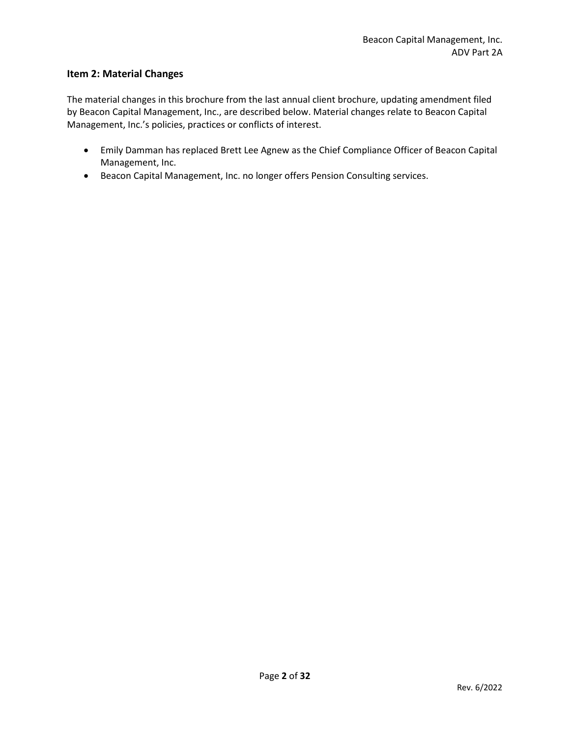### **Item 2: Material Changes**

The material changes in this brochure from the last annual client brochure, updating amendment filed by Beacon Capital Management, Inc., are described below. Material changes relate to Beacon Capital Management, Inc.'s policies, practices or conflicts of interest.

- Emily Damman has replaced Brett Lee Agnew as the Chief Compliance Officer of Beacon Capital Management, Inc.
- Beacon Capital Management, Inc. no longer offers Pension Consulting services.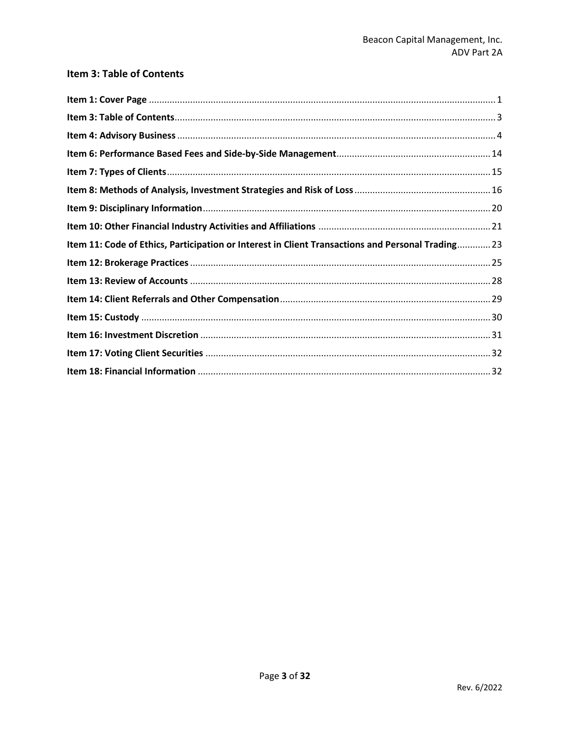# <span id="page-2-0"></span>Item 3: Table of Contents

| Item 11: Code of Ethics, Participation or Interest in Client Transactions and Personal Trading 23 |  |
|---------------------------------------------------------------------------------------------------|--|
|                                                                                                   |  |
|                                                                                                   |  |
|                                                                                                   |  |
|                                                                                                   |  |
|                                                                                                   |  |
|                                                                                                   |  |
|                                                                                                   |  |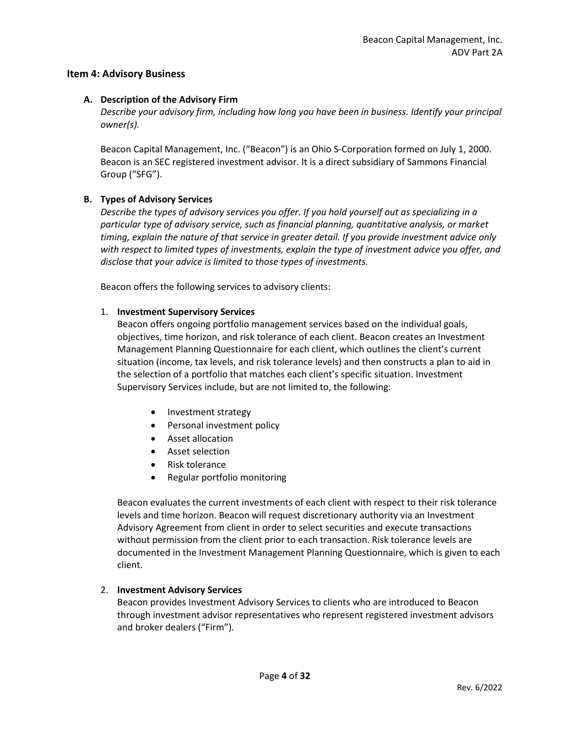#### <span id="page-3-0"></span>**Item 4: Advisory Business**

#### **A. Description of the Advisory Firm**

*Describe your advisory firm, including how long you have been in business. Identify your principal owner(s).*

Beacon Capital Management, Inc. ("Beacon") is an Ohio S-Corporation formed on July 1, 2000. Beacon is an SEC registered investment advisor. It is a direct subsidiary of Sammons Financial Group ("SFG").

#### **B. Types of Advisory Services**

*Describe the types of advisory services you offer. If you hold yourself out as specializing in a particular type of advisory service, such as financial planning, quantitative analysis, or market timing, explain the nature of that service in greater detail. If you provide investment advice only with respect to limited types of investments, explain the type of investment advice you offer, and disclose that your advice is limited to those types of investments.*

Beacon offers the following services to advisory clients:

#### 1. **Investment Supervisory Services**

Beacon offers ongoing portfolio management services based on the individual goals, objectives, time horizon, and risk tolerance of each client. Beacon creates an Investment Management Planning Questionnaire for each client, which outlines the client's current situation (income, tax levels, and risk tolerance levels) and then constructs a plan to aid in the selection of a portfolio that matches each client's specific situation. Investment Supervisory Services include, but are not limited to, the following:

- Investment strategy
- Personal investment policy
- Asset allocation
- Asset selection
- Risk tolerance
- Regular portfolio monitoring

Beacon evaluates the current investments of each client with respect to their risk tolerance levels and time horizon. Beacon will request discretionary authority via an Investment Advisory Agreement from client in order to select securities and execute transactions without permission from the client prior to each transaction. Risk tolerance levels are documented in the Investment Management Planning Questionnaire, which is given to each client.

#### 2. **Investment Advisory Services**

Beacon provides Investment Advisory Services to clients who are introduced to Beacon through investment advisor representatives who represent registered investment advisors and broker dealers ("Firm").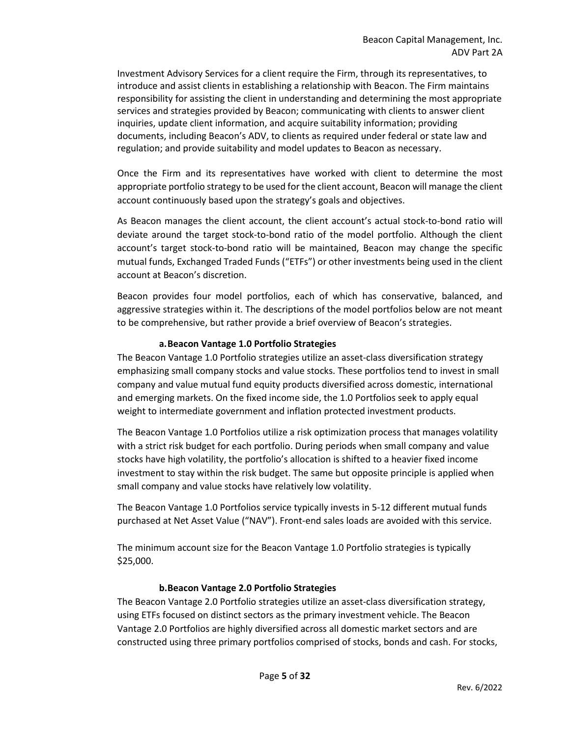Investment Advisory Services for a client require the Firm, through its representatives, to introduce and assist clients in establishing a relationship with Beacon. The Firm maintains responsibility for assisting the client in understanding and determining the most appropriate services and strategies provided by Beacon; communicating with clients to answer client inquiries, update client information, and acquire suitability information; providing documents, including Beacon's ADV, to clients as required under federal or state law and regulation; and provide suitability and model updates to Beacon as necessary.

Once the Firm and its representatives have worked with client to determine the most appropriate portfolio strategy to be used for the client account, Beacon will manage the client account continuously based upon the strategy's goals and objectives.

As Beacon manages the client account, the client account's actual stock-to-bond ratio will deviate around the target stock-to-bond ratio of the model portfolio. Although the client account's target stock-to-bond ratio will be maintained, Beacon may change the specific mutual funds, Exchanged Traded Funds ("ETFs") or other investments being used in the client account at Beacon's discretion.

Beacon provides four model portfolios, each of which has conservative, balanced, and aggressive strategies within it. The descriptions of the model portfolios below are not meant to be comprehensive, but rather provide a brief overview of Beacon's strategies.

#### **a.Beacon Vantage 1.0 Portfolio Strategies**

The Beacon Vantage 1.0 Portfolio strategies utilize an asset-class diversification strategy emphasizing small company stocks and value stocks. These portfolios tend to invest in small company and value mutual fund equity products diversified across domestic, international and emerging markets. On the fixed income side, the 1.0 Portfolios seek to apply equal weight to intermediate government and inflation protected investment products.

The Beacon Vantage 1.0 Portfolios utilize a risk optimization process that manages volatility with a strict risk budget for each portfolio. During periods when small company and value stocks have high volatility, the portfolio's allocation is shifted to a heavier fixed income investment to stay within the risk budget. The same but opposite principle is applied when small company and value stocks have relatively low volatility.

The Beacon Vantage 1.0 Portfolios service typically invests in 5-12 different mutual funds purchased at Net Asset Value ("NAV"). Front-end sales loads are avoided with this service.

The minimum account size for the Beacon Vantage 1.0 Portfolio strategies is typically \$25,000.

#### **b.Beacon Vantage 2.0 Portfolio Strategies**

The Beacon Vantage 2.0 Portfolio strategies utilize an asset-class diversification strategy, using ETFs focused on distinct sectors as the primary investment vehicle. The Beacon Vantage 2.0 Portfolios are highly diversified across all domestic market sectors and are constructed using three primary portfolios comprised of stocks, bonds and cash. For stocks,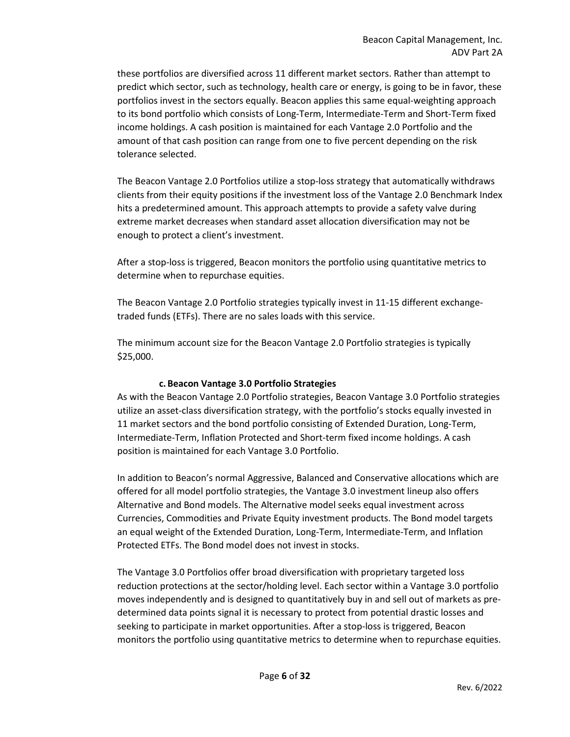these portfolios are diversified across 11 different market sectors. Rather than attempt to predict which sector, such as technology, health care or energy, is going to be in favor, these portfolios invest in the sectors equally. Beacon applies this same equal-weighting approach to its bond portfolio which consists of Long-Term, Intermediate-Term and Short-Term fixed income holdings. A cash position is maintained for each Vantage 2.0 Portfolio and the amount of that cash position can range from one to five percent depending on the risk tolerance selected.

The Beacon Vantage 2.0 Portfolios utilize a stop-loss strategy that automatically withdraws clients from their equity positions if the investment loss of the Vantage 2.0 Benchmark Index hits a predetermined amount. This approach attempts to provide a safety valve during extreme market decreases when standard asset allocation diversification may not be enough to protect a client's investment.

After a stop-loss is triggered, Beacon monitors the portfolio using quantitative metrics to determine when to repurchase equities.

The Beacon Vantage 2.0 Portfolio strategies typically invest in 11-15 different exchangetraded funds (ETFs). There are no sales loads with this service.

The minimum account size for the Beacon Vantage 2.0 Portfolio strategies is typically \$25,000.

#### **c. Beacon Vantage 3.0 Portfolio Strategies**

As with the Beacon Vantage 2.0 Portfolio strategies, Beacon Vantage 3.0 Portfolio strategies utilize an asset-class diversification strategy, with the portfolio's stocks equally invested in 11 market sectors and the bond portfolio consisting of Extended Duration, Long-Term, Intermediate-Term, Inflation Protected and Short-term fixed income holdings. A cash position is maintained for each Vantage 3.0 Portfolio.

In addition to Beacon's normal Aggressive, Balanced and Conservative allocations which are offered for all model portfolio strategies, the Vantage 3.0 investment lineup also offers Alternative and Bond models. The Alternative model seeks equal investment across Currencies, Commodities and Private Equity investment products. The Bond model targets an equal weight of the Extended Duration, Long-Term, Intermediate-Term, and Inflation Protected ETFs. The Bond model does not invest in stocks.

The Vantage 3.0 Portfolios offer broad diversification with proprietary targeted loss reduction protections at the sector/holding level. Each sector within a Vantage 3.0 portfolio moves independently and is designed to quantitatively buy in and sell out of markets as predetermined data points signal it is necessary to protect from potential drastic losses and seeking to participate in market opportunities. After a stop-loss is triggered, Beacon monitors the portfolio using quantitative metrics to determine when to repurchase equities.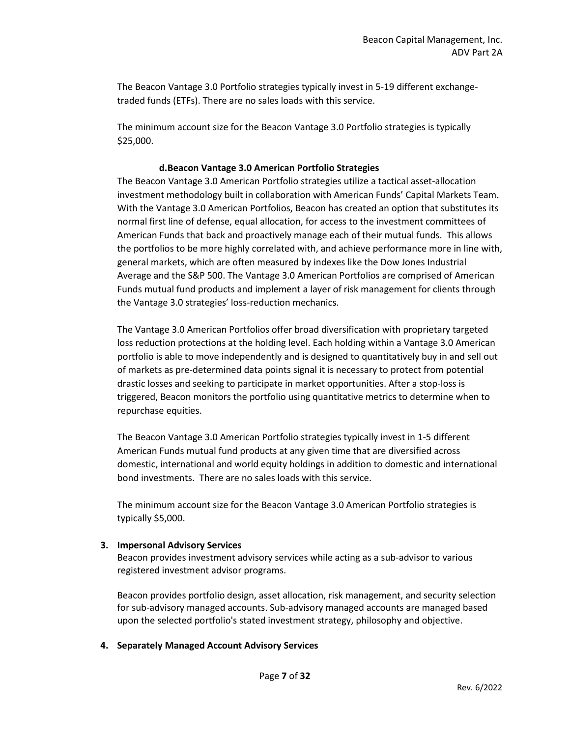The Beacon Vantage 3.0 Portfolio strategies typically invest in 5-19 different exchangetraded funds (ETFs). There are no sales loads with this service.

The minimum account size for the Beacon Vantage 3.0 Portfolio strategies is typically \$25,000.

#### **d.Beacon Vantage 3.0 American Portfolio Strategies**

The Beacon Vantage 3.0 American Portfolio strategies utilize a tactical asset-allocation investment methodology built in collaboration with American Funds' Capital Markets Team. With the Vantage 3.0 American Portfolios, Beacon has created an option that substitutes its normal first line of defense, equal allocation, for access to the investment committees of American Funds that back and proactively manage each of their mutual funds. This allows the portfolios to be more highly correlated with, and achieve performance more in line with, general markets, which are often measured by indexes like the Dow Jones Industrial Average and the S&P 500. The Vantage 3.0 American Portfolios are comprised of American Funds mutual fund products and implement a layer of risk management for clients through the Vantage 3.0 strategies' loss-reduction mechanics.

The Vantage 3.0 American Portfolios offer broad diversification with proprietary targeted loss reduction protections at the holding level. Each holding within a Vantage 3.0 American portfolio is able to move independently and is designed to quantitatively buy in and sell out of markets as pre-determined data points signal it is necessary to protect from potential drastic losses and seeking to participate in market opportunities. After a stop-loss is triggered, Beacon monitors the portfolio using quantitative metrics to determine when to repurchase equities.

The Beacon Vantage 3.0 American Portfolio strategies typically invest in 1-5 different American Funds mutual fund products at any given time that are diversified across domestic, international and world equity holdings in addition to domestic and international bond investments. There are no sales loads with this service.

The minimum account size for the Beacon Vantage 3.0 American Portfolio strategies is typically \$5,000.

#### **3. Impersonal Advisory Services**

Beacon provides investment advisory services while acting as a sub-advisor to various registered investment advisor programs.

Beacon provides portfolio design, asset allocation, risk management, and security selection for sub-advisory managed accounts. Sub-advisory managed accounts are managed based upon the selected portfolio's stated investment strategy, philosophy and objective.

#### **4. Separately Managed Account Advisory Services**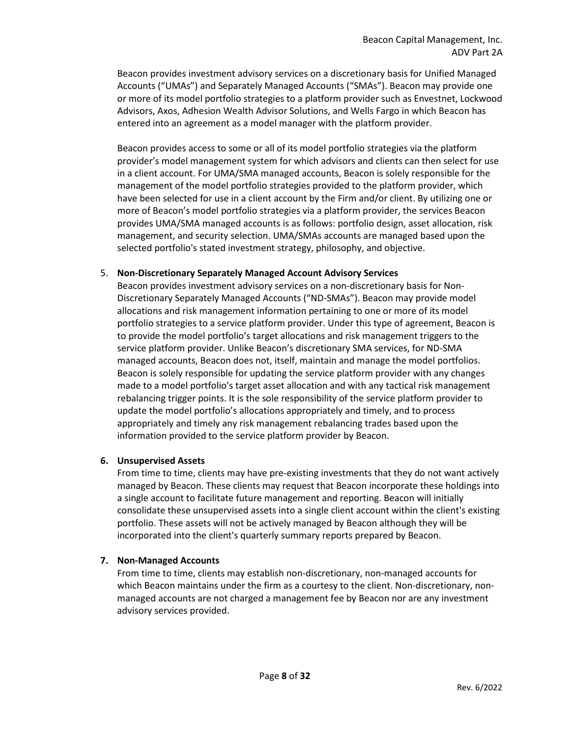Beacon provides investment advisory services on a discretionary basis for Unified Managed Accounts ("UMAs") and Separately Managed Accounts ("SMAs"). Beacon may provide one or more of its model portfolio strategies to a platform provider such as Envestnet, Lockwood Advisors, Axos, Adhesion Wealth Advisor Solutions, and Wells Fargo in which Beacon has entered into an agreement as a model manager with the platform provider.

Beacon provides access to some or all of its model portfolio strategies via the platform provider's model management system for which advisors and clients can then select for use in a client account. For UMA/SMA managed accounts, Beacon is solely responsible for the management of the model portfolio strategies provided to the platform provider, which have been selected for use in a client account by the Firm and/or client. By utilizing one or more of Beacon's model portfolio strategies via a platform provider, the services Beacon provides UMA/SMA managed accounts is as follows: portfolio design, asset allocation, risk management, and security selection. UMA/SMAs accounts are managed based upon the selected portfolio's stated investment strategy, philosophy, and objective.

#### 5. **Non-Discretionary Separately Managed Account Advisory Services**

Beacon provides investment advisory services on a non-discretionary basis for Non-Discretionary Separately Managed Accounts ("ND-SMAs"). Beacon may provide model allocations and risk management information pertaining to one or more of its model portfolio strategies to a service platform provider. Under this type of agreement, Beacon is to provide the model portfolio's target allocations and risk management triggers to the service platform provider. Unlike Beacon's discretionary SMA services, for ND-SMA managed accounts, Beacon does not, itself, maintain and manage the model portfolios. Beacon is solely responsible for updating the service platform provider with any changes made to a model portfolio's target asset allocation and with any tactical risk management rebalancing trigger points. It is the sole responsibility of the service platform provider to update the model portfolio's allocations appropriately and timely, and to process appropriately and timely any risk management rebalancing trades based upon the information provided to the service platform provider by Beacon.

#### **6. Unsupervised Assets**

From time to time, clients may have pre-existing investments that they do not want actively managed by Beacon. These clients may request that Beacon incorporate these holdings into a single account to facilitate future management and reporting. Beacon will initially consolidate these unsupervised assets into a single client account within the client's existing portfolio. These assets will not be actively managed by Beacon although they will be incorporated into the client's quarterly summary reports prepared by Beacon.

#### **7. Non-Managed Accounts**

From time to time, clients may establish non-discretionary, non-managed accounts for which Beacon maintains under the firm as a courtesy to the client. Non-discretionary, nonmanaged accounts are not charged a management fee by Beacon nor are any investment advisory services provided.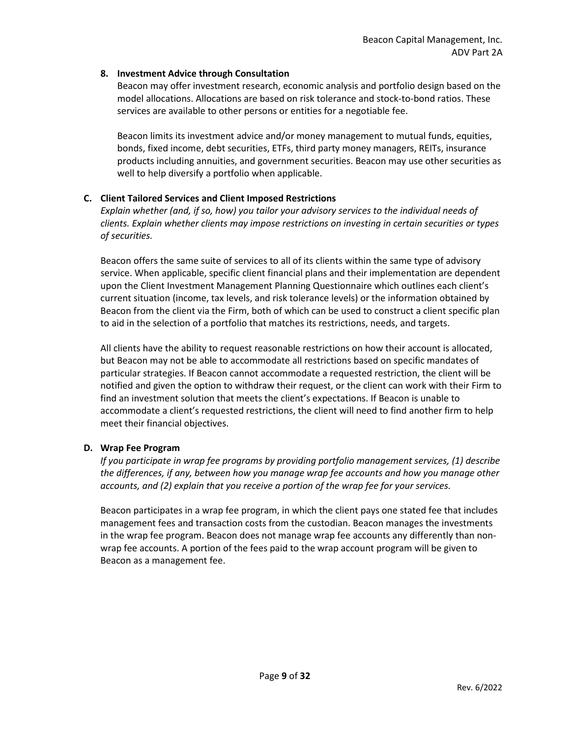### **8. Investment Advice through Consultation**

Beacon may offer investment research, economic analysis and portfolio design based on the model allocations. Allocations are based on risk tolerance and stock-to-bond ratios. These services are available to other persons or entities for a negotiable fee.

Beacon limits its investment advice and/or money management to mutual funds, equities, bonds, fixed income, debt securities, ETFs, third party money managers, REITs, insurance products including annuities, and government securities. Beacon may use other securities as well to help diversify a portfolio when applicable.

# **C. Client Tailored Services and Client Imposed Restrictions**

*Explain whether (and, if so, how) you tailor your advisory services to the individual needs of clients. Explain whether clients may impose restrictions on investing in certain securities or types of securities.*

Beacon offers the same suite of services to all of its clients within the same type of advisory service. When applicable, specific client financial plans and their implementation are dependent upon the Client Investment Management Planning Questionnaire which outlines each client's current situation (income, tax levels, and risk tolerance levels) or the information obtained by Beacon from the client via the Firm, both of which can be used to construct a client specific plan to aid in the selection of a portfolio that matches its restrictions, needs, and targets.

All clients have the ability to request reasonable restrictions on how their account is allocated, but Beacon may not be able to accommodate all restrictions based on specific mandates of particular strategies. If Beacon cannot accommodate a requested restriction, the client will be notified and given the option to withdraw their request, or the client can work with their Firm to find an investment solution that meets the client's expectations. If Beacon is unable to accommodate a client's requested restrictions, the client will need to find another firm to help meet their financial objectives.

# **D. Wrap Fee Program**

*If you participate in wrap fee programs by providing portfolio management services, (1) describe the differences, if any, between how you manage wrap fee accounts and how you manage other accounts, and (2) explain that you receive a portion of the wrap fee for your services.*

Beacon participates in a wrap fee program, in which the client pays one stated fee that includes management fees and transaction costs from the custodian. Beacon manages the investments in the wrap fee program. Beacon does not manage wrap fee accounts any differently than nonwrap fee accounts. A portion of the fees paid to the wrap account program will be given to Beacon as a management fee.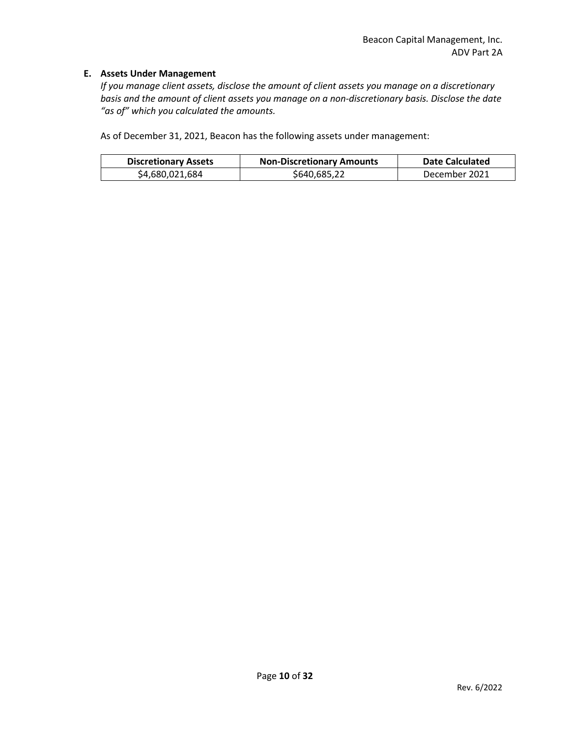#### **E. Assets Under Management**

*If you manage client assets, disclose the amount of client assets you manage on a discretionary basis and the amount of client assets you manage on a non-discretionary basis. Disclose the date "as of" which you calculated the amounts.*

As of December 31, 2021, Beacon has the following assets under management:

| <b>Discretionary Assets</b> | <b>Non-Discretionary Amounts</b> | <b>Date Calculated</b> |
|-----------------------------|----------------------------------|------------------------|
| \$4,680,021,684             | \$640,685,22                     | December 2021          |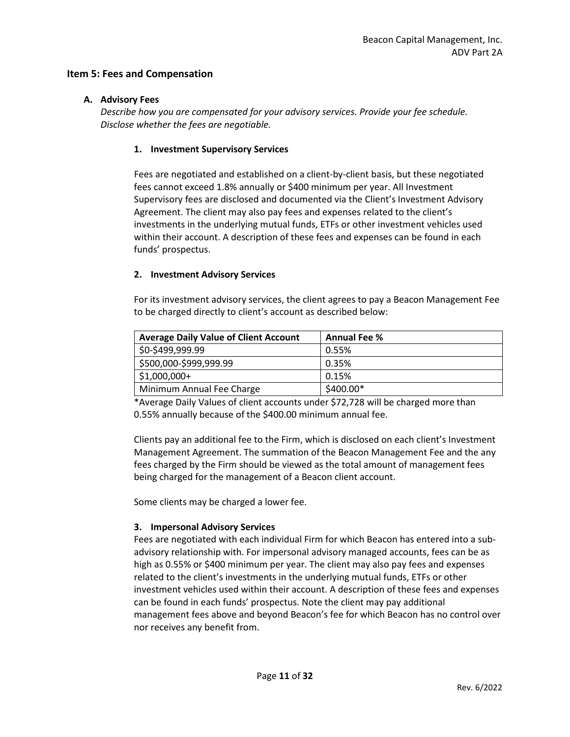### **Item 5: Fees and Compensation**

#### **A. Advisory Fees**

*Describe how you are compensated for your advisory services. Provide your fee schedule. Disclose whether the fees are negotiable.*

### **1. Investment Supervisory Services**

Fees are negotiated and established on a client-by-client basis, but these negotiated fees cannot exceed 1.8% annually or \$400 minimum per year. All Investment Supervisory fees are disclosed and documented via the Client's Investment Advisory Agreement. The client may also pay fees and expenses related to the client's investments in the underlying mutual funds, ETFs or other investment vehicles used within their account. A description of these fees and expenses can be found in each funds' prospectus.

# **2. Investment Advisory Services**

For its investment advisory services, the client agrees to pay a Beacon Management Fee to be charged directly to client's account as described below:

| <b>Average Daily Value of Client Account</b> | <b>Annual Fee %</b> |
|----------------------------------------------|---------------------|
| \$0-\$499,999.99                             | 0.55%               |
| \$500,000-\$999,999.99                       | 0.35%               |
| $$1,000,000+$                                | 0.15%               |
| Minimum Annual Fee Charge                    | \$400.00*           |

\*Average Daily Values of client accounts under \$72,728 will be charged more than 0.55% annually because of the \$400.00 minimum annual fee.

Clients pay an additional fee to the Firm, which is disclosed on each client's Investment Management Agreement. The summation of the Beacon Management Fee and the any fees charged by the Firm should be viewed as the total amount of management fees being charged for the management of a Beacon client account.

Some clients may be charged a lower fee.

# **3. Impersonal Advisory Services**

Fees are negotiated with each individual Firm for which Beacon has entered into a subadvisory relationship with. For impersonal advisory managed accounts, fees can be as high as 0.55% or \$400 minimum per year. The client may also pay fees and expenses related to the client's investments in the underlying mutual funds, ETFs or other investment vehicles used within their account. A description of these fees and expenses can be found in each funds' prospectus. Note the client may pay additional management fees above and beyond Beacon's fee for which Beacon has no control over nor receives any benefit from.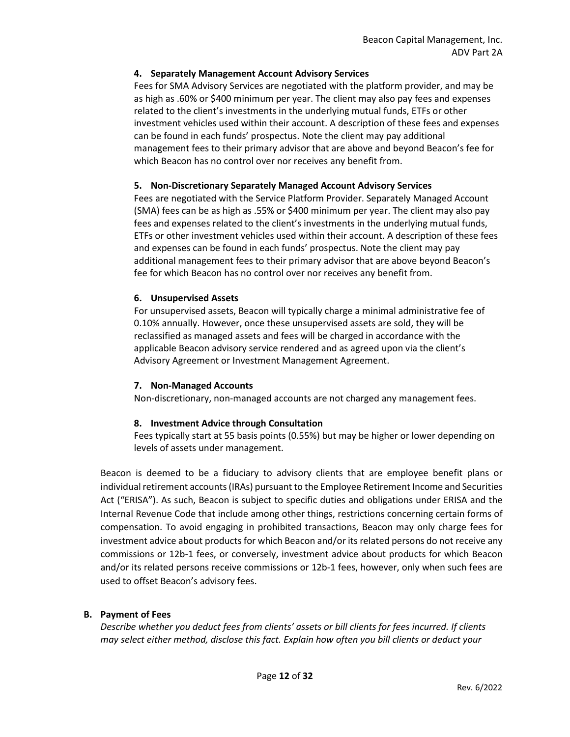# **4. Separately Management Account Advisory Services**

Fees for SMA Advisory Services are negotiated with the platform provider, and may be as high as .60% or \$400 minimum per year. The client may also pay fees and expenses related to the client's investments in the underlying mutual funds, ETFs or other investment vehicles used within their account. A description of these fees and expenses can be found in each funds' prospectus. Note the client may pay additional management fees to their primary advisor that are above and beyond Beacon's fee for which Beacon has no control over nor receives any benefit from.

# **5. Non-Discretionary Separately Managed Account Advisory Services**

Fees are negotiated with the Service Platform Provider. Separately Managed Account (SMA) fees can be as high as .55% or \$400 minimum per year. The client may also pay fees and expenses related to the client's investments in the underlying mutual funds, ETFs or other investment vehicles used within their account. A description of these fees and expenses can be found in each funds' prospectus. Note the client may pay additional management fees to their primary advisor that are above beyond Beacon's fee for which Beacon has no control over nor receives any benefit from.

#### **6. Unsupervised Assets**

For unsupervised assets, Beacon will typically charge a minimal administrative fee of 0.10% annually. However, once these unsupervised assets are sold, they will be reclassified as managed assets and fees will be charged in accordance with the applicable Beacon advisory service rendered and as agreed upon via the client's Advisory Agreement or Investment Management Agreement.

#### **7. Non-Managed Accounts**

Non-discretionary, non-managed accounts are not charged any management fees.

#### **8. Investment Advice through Consultation**

Fees typically start at 55 basis points (0.55%) but may be higher or lower depending on levels of assets under management.

Beacon is deemed to be a fiduciary to advisory clients that are employee benefit plans or individual retirement accounts (IRAs) pursuant to the Employee Retirement Income and Securities Act ("ERISA"). As such, Beacon is subject to specific duties and obligations under ERISA and the Internal Revenue Code that include among other things, restrictions concerning certain forms of compensation. To avoid engaging in prohibited transactions, Beacon may only charge fees for investment advice about products for which Beacon and/or its related persons do not receive any commissions or 12b-1 fees, or conversely, investment advice about products for which Beacon and/or its related persons receive commissions or 12b-1 fees, however, only when such fees are used to offset Beacon's advisory fees.

# **B. Payment of Fees**

*Describe whether you deduct fees from clients' assets or bill clients for fees incurred. If clients may select either method, disclose this fact. Explain how often you bill clients or deduct your*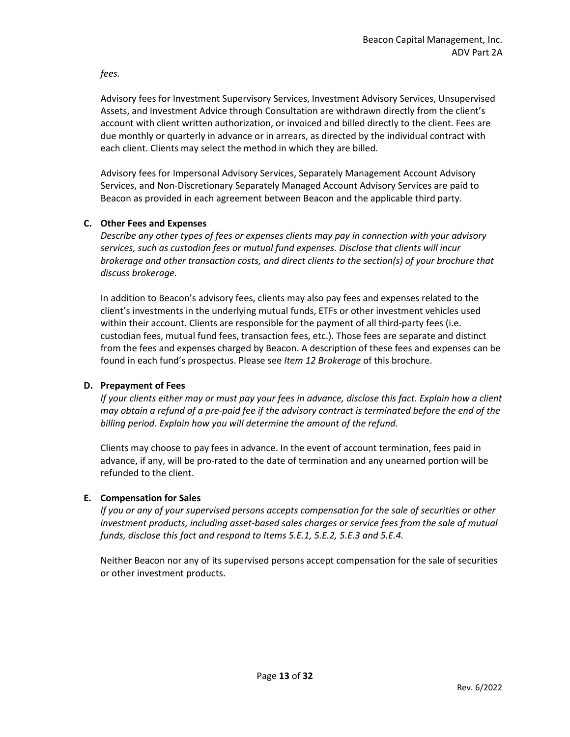*fees.*

Advisory fees for Investment Supervisory Services, Investment Advisory Services, Unsupervised Assets, and Investment Advice through Consultation are withdrawn directly from the client's account with client written authorization, or invoiced and billed directly to the client. Fees are due monthly or quarterly in advance or in arrears, as directed by the individual contract with each client. Clients may select the method in which they are billed.

Advisory fees for Impersonal Advisory Services, Separately Management Account Advisory Services, and Non-Discretionary Separately Managed Account Advisory Services are paid to Beacon as provided in each agreement between Beacon and the applicable third party.

# **C. Other Fees and Expenses**

*Describe any other types of fees or expenses clients may pay in connection with your advisory services, such as custodian fees or mutual fund expenses. Disclose that clients will incur brokerage and other transaction costs, and direct clients to the section(s) of your brochure that discuss brokerage.*

In addition to Beacon's advisory fees, clients may also pay fees and expenses related to the client's investments in the underlying mutual funds, ETFs or other investment vehicles used within their account. Clients are responsible for the payment of all third-party fees (i.e. custodian fees, mutual fund fees, transaction fees, etc.). Those fees are separate and distinct from the fees and expenses charged by Beacon. A description of these fees and expenses can be found in each fund's prospectus. Please see *Item 12 Brokerage* of this brochure.

#### **D. Prepayment of Fees**

*If your clients either may or must pay your fees in advance, disclose this fact. Explain how a client may obtain a refund of a pre-paid fee if the advisory contract is terminated before the end of the billing period. Explain how you will determine the amount of the refund.*

Clients may choose to pay fees in advance. In the event of account termination, fees paid in advance, if any, will be pro-rated to the date of termination and any unearned portion will be refunded to the client.

# **E. Compensation for Sales**

*If you or any of your supervised persons accepts compensation for the sale of securities or other investment products, including asset-based sales charges or service fees from the sale of mutual funds, disclose this fact and respond to Items 5.E.1, 5.E.2, 5.E.3 and 5.E.4.*

Neither Beacon nor any of its supervised persons accept compensation for the sale of securities or other investment products.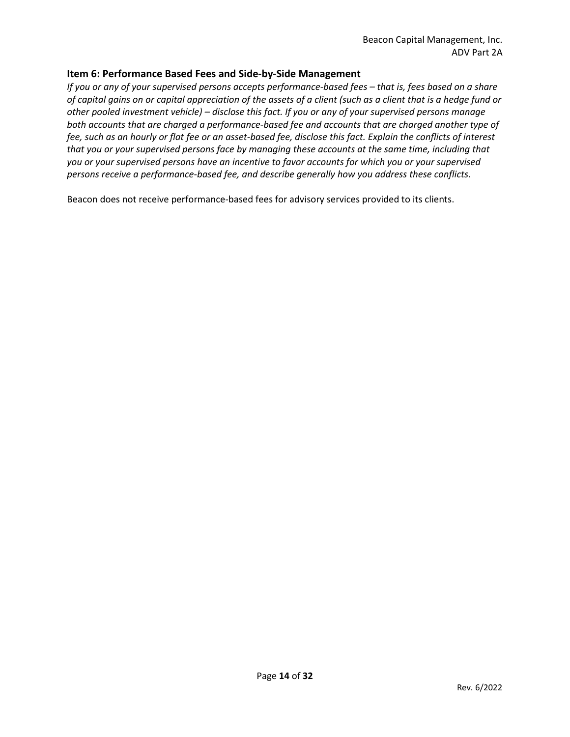# <span id="page-13-0"></span>**Item 6: Performance Based Fees and Side-by-Side Management**

*If you or any of your supervised persons accepts performance-based fees – that is, fees based on a share of capital gains on or capital appreciation of the assets of a client (such as a client that is a hedge fund or other pooled investment vehicle) – disclose this fact. If you or any of your supervised persons manage both accounts that are charged a performance-based fee and accounts that are charged another type of fee, such as an hourly or flat fee or an asset-based fee, disclose this fact. Explain the conflicts of interest that you or your supervised persons face by managing these accounts at the same time, including that you or your supervised persons have an incentive to favor accounts for which you or your supervised persons receive a performance-based fee, and describe generally how you address these conflicts.*

Beacon does not receive performance-based fees for advisory services provided to its clients.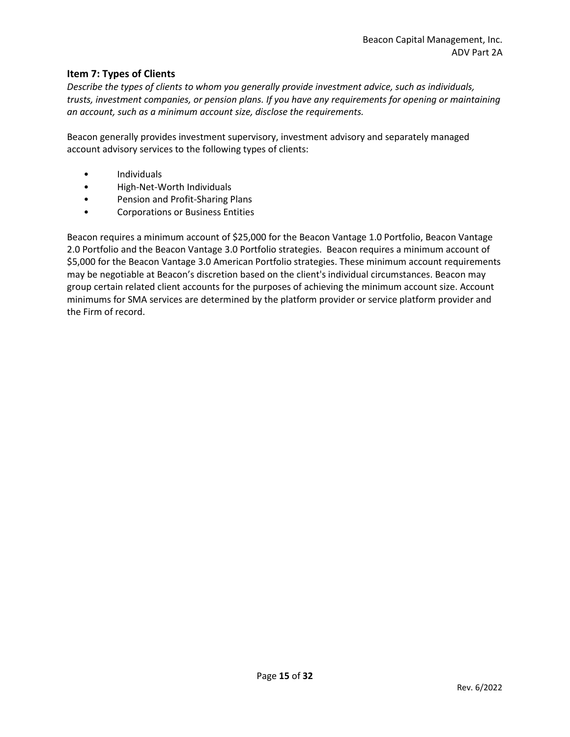# <span id="page-14-0"></span>**Item 7: Types of Clients**

*Describe the types of clients to whom you generally provide investment advice, such as individuals, trusts, investment companies, or pension plans. If you have any requirements for opening or maintaining an account, such as a minimum account size, disclose the requirements.*

Beacon generally provides investment supervisory, investment advisory and separately managed account advisory services to the following types of clients:

- Individuals
- High-Net-Worth Individuals
- Pension and Profit-Sharing Plans
- Corporations or Business Entities

Beacon requires a minimum account of \$25,000 for the Beacon Vantage 1.0 Portfolio, Beacon Vantage 2.0 Portfolio and the Beacon Vantage 3.0 Portfolio strategies. Beacon requires a minimum account of \$5,000 for the Beacon Vantage 3.0 American Portfolio strategies. These minimum account requirements may be negotiable at Beacon's discretion based on the client's individual circumstances. Beacon may group certain related client accounts for the purposes of achieving the minimum account size. Account minimums for SMA services are determined by the platform provider or service platform provider and the Firm of record.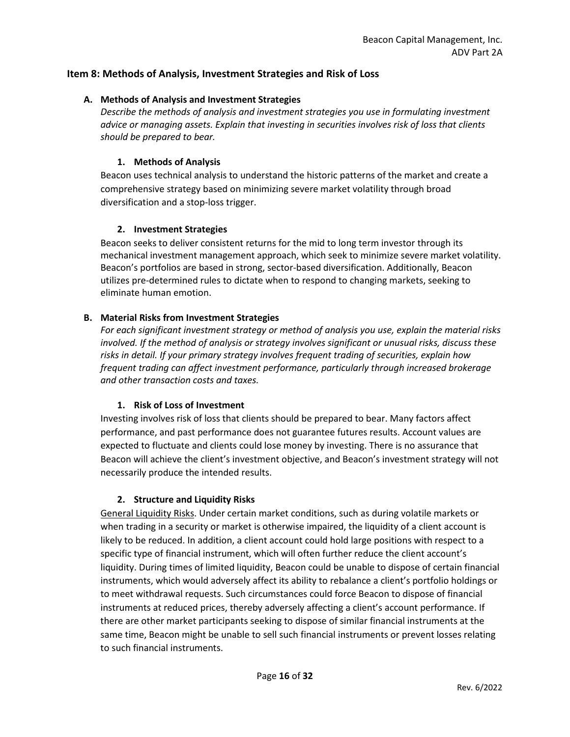# <span id="page-15-0"></span>**Item 8: Methods of Analysis, Investment Strategies and Risk of Loss**

### **A. Methods of Analysis and Investment Strategies**

*Describe the methods of analysis and investment strategies you use in formulating investment advice or managing assets. Explain that investing in securities involves risk of loss that clients should be prepared to bear.*

# **1. Methods of Analysis**

Beacon uses technical analysis to understand the historic patterns of the market and create a comprehensive strategy based on minimizing severe market volatility through broad diversification and a stop-loss trigger.

# **2. Investment Strategies**

Beacon seeks to deliver consistent returns for the mid to long term investor through its mechanical investment management approach, which seek to minimize severe market volatility. Beacon's portfolios are based in strong, sector-based diversification. Additionally, Beacon utilizes pre-determined rules to dictate when to respond to changing markets, seeking to eliminate human emotion.

# **B. Material Risks from Investment Strategies**

*For each significant investment strategy or method of analysis you use, explain the material risks involved. If the method of analysis or strategy involves significant or unusual risks, discuss these risks in detail. If your primary strategy involves frequent trading of securities, explain how frequent trading can affect investment performance, particularly through increased brokerage and other transaction costs and taxes.*

#### **1. Risk of Loss of Investment**

Investing involves risk of loss that clients should be prepared to bear. Many factors affect performance, and past performance does not guarantee futures results. Account values are expected to fluctuate and clients could lose money by investing. There is no assurance that Beacon will achieve the client's investment objective, and Beacon's investment strategy will not necessarily produce the intended results.

#### **2. Structure and Liquidity Risks**

General Liquidity Risks. Under certain market conditions, such as during volatile markets or when trading in a security or market is otherwise impaired, the liquidity of a client account is likely to be reduced. In addition, a client account could hold large positions with respect to a specific type of financial instrument, which will often further reduce the client account's liquidity. During times of limited liquidity, Beacon could be unable to dispose of certain financial instruments, which would adversely affect its ability to rebalance a client's portfolio holdings or to meet withdrawal requests. Such circumstances could force Beacon to dispose of financial instruments at reduced prices, thereby adversely affecting a client's account performance. If there are other market participants seeking to dispose of similar financial instruments at the same time, Beacon might be unable to sell such financial instruments or prevent losses relating to such financial instruments.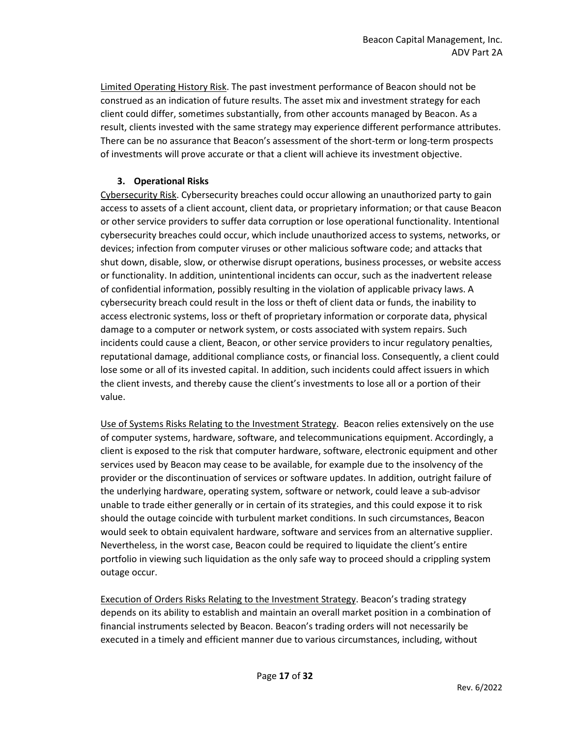Limited Operating History Risk. The past investment performance of Beacon should not be construed as an indication of future results. The asset mix and investment strategy for each client could differ, sometimes substantially, from other accounts managed by Beacon. As a result, clients invested with the same strategy may experience different performance attributes. There can be no assurance that Beacon's assessment of the short-term or long-term prospects of investments will prove accurate or that a client will achieve its investment objective.

# **3. Operational Risks**

Cybersecurity Risk. Cybersecurity breaches could occur allowing an unauthorized party to gain access to assets of a client account, client data, or proprietary information; or that cause Beacon or other service providers to suffer data corruption or lose operational functionality. Intentional cybersecurity breaches could occur, which include unauthorized access to systems, networks, or devices; infection from computer viruses or other malicious software code; and attacks that shut down, disable, slow, or otherwise disrupt operations, business processes, or website access or functionality. In addition, unintentional incidents can occur, such as the inadvertent release of confidential information, possibly resulting in the violation of applicable privacy laws. A cybersecurity breach could result in the loss or theft of client data or funds, the inability to access electronic systems, loss or theft of proprietary information or corporate data, physical damage to a computer or network system, or costs associated with system repairs. Such incidents could cause a client, Beacon, or other service providers to incur regulatory penalties, reputational damage, additional compliance costs, or financial loss. Consequently, a client could lose some or all of its invested capital. In addition, such incidents could affect issuers in which the client invests, and thereby cause the client's investments to lose all or a portion of their value.

Use of Systems Risks Relating to the Investment Strategy. Beacon relies extensively on the use of computer systems, hardware, software, and telecommunications equipment. Accordingly, a client is exposed to the risk that computer hardware, software, electronic equipment and other services used by Beacon may cease to be available, for example due to the insolvency of the provider or the discontinuation of services or software updates. In addition, outright failure of the underlying hardware, operating system, software or network, could leave a sub-advisor unable to trade either generally or in certain of its strategies, and this could expose it to risk should the outage coincide with turbulent market conditions. In such circumstances, Beacon would seek to obtain equivalent hardware, software and services from an alternative supplier. Nevertheless, in the worst case, Beacon could be required to liquidate the client's entire portfolio in viewing such liquidation as the only safe way to proceed should a crippling system outage occur.

Execution of Orders Risks Relating to the Investment Strategy. Beacon's trading strategy depends on its ability to establish and maintain an overall market position in a combination of financial instruments selected by Beacon. Beacon's trading orders will not necessarily be executed in a timely and efficient manner due to various circumstances, including, without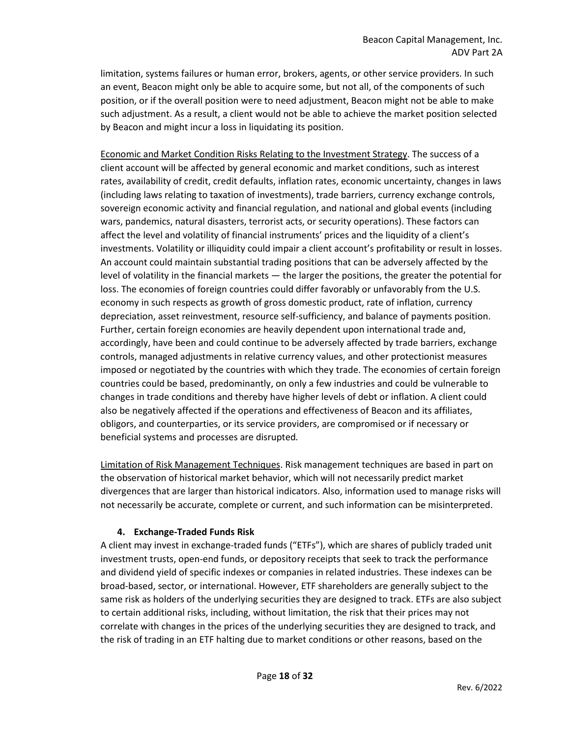limitation, systems failures or human error, brokers, agents, or other service providers. In such an event, Beacon might only be able to acquire some, but not all, of the components of such position, or if the overall position were to need adjustment, Beacon might not be able to make such adjustment. As a result, a client would not be able to achieve the market position selected by Beacon and might incur a loss in liquidating its position.

Economic and Market Condition Risks Relating to the Investment Strategy. The success of a client account will be affected by general economic and market conditions, such as interest rates, availability of credit, credit defaults, inflation rates, economic uncertainty, changes in laws (including laws relating to taxation of investments), trade barriers, currency exchange controls, sovereign economic activity and financial regulation, and national and global events (including wars, pandemics, natural disasters, terrorist acts, or security operations). These factors can affect the level and volatility of financial instruments' prices and the liquidity of a client's investments. Volatility or illiquidity could impair a client account's profitability or result in losses. An account could maintain substantial trading positions that can be adversely affected by the level of volatility in the financial markets — the larger the positions, the greater the potential for loss. The economies of foreign countries could differ favorably or unfavorably from the U.S. economy in such respects as growth of gross domestic product, rate of inflation, currency depreciation, asset reinvestment, resource self-sufficiency, and balance of payments position. Further, certain foreign economies are heavily dependent upon international trade and, accordingly, have been and could continue to be adversely affected by trade barriers, exchange controls, managed adjustments in relative currency values, and other protectionist measures imposed or negotiated by the countries with which they trade. The economies of certain foreign countries could be based, predominantly, on only a few industries and could be vulnerable to changes in trade conditions and thereby have higher levels of debt or inflation. A client could also be negatively affected if the operations and effectiveness of Beacon and its affiliates, obligors, and counterparties, or its service providers, are compromised or if necessary or beneficial systems and processes are disrupted*.* 

Limitation of Risk Management Techniques. Risk management techniques are based in part on the observation of historical market behavior, which will not necessarily predict market divergences that are larger than historical indicators. Also, information used to manage risks will not necessarily be accurate, complete or current, and such information can be misinterpreted.

# **4. Exchange-Traded Funds Risk**

A client may invest in exchange-traded funds ("ETFs"), which are shares of publicly traded unit investment trusts, open-end funds, or depository receipts that seek to track the performance and dividend yield of specific indexes or companies in related industries. These indexes can be broad-based, sector, or international. However, ETF shareholders are generally subject to the same risk as holders of the underlying securities they are designed to track. ETFs are also subject to certain additional risks, including, without limitation, the risk that their prices may not correlate with changes in the prices of the underlying securities they are designed to track, and the risk of trading in an ETF halting due to market conditions or other reasons, based on the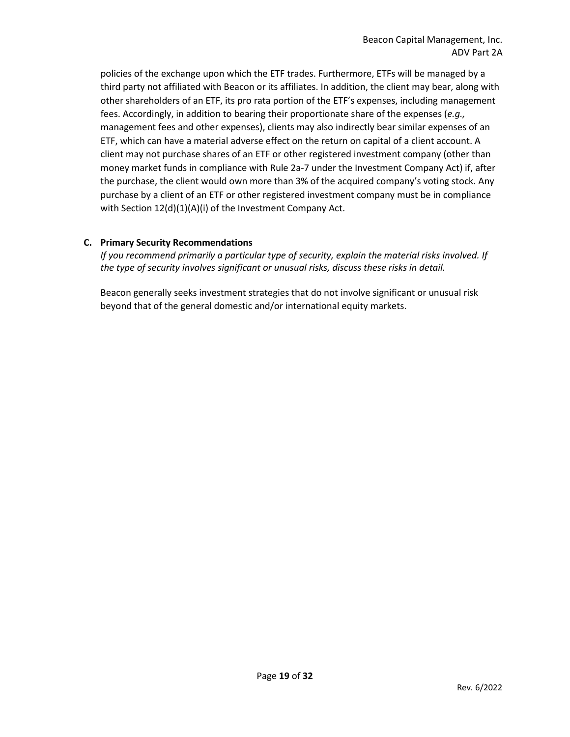policies of the exchange upon which the ETF trades. Furthermore, ETFs will be managed by a third party not affiliated with Beacon or its affiliates. In addition, the client may bear, along with other shareholders of an ETF, its pro rata portion of the ETF's expenses, including management fees. Accordingly, in addition to bearing their proportionate share of the expenses (*e.g.,*  management fees and other expenses), clients may also indirectly bear similar expenses of an ETF, which can have a material adverse effect on the return on capital of a client account. A client may not purchase shares of an ETF or other registered investment company (other than money market funds in compliance with Rule 2a-7 under the Investment Company Act) if, after the purchase, the client would own more than 3% of the acquired company's voting stock. Any purchase by a client of an ETF or other registered investment company must be in compliance with Section 12(d)(1)(A)(i) of the Investment Company Act.

# **C. Primary Security Recommendations**

*If you recommend primarily a particular type of security, explain the material risks involved. If the type of security involves significant or unusual risks, discuss these risks in detail.*

Beacon generally seeks investment strategies that do not involve significant or unusual risk beyond that of the general domestic and/or international equity markets.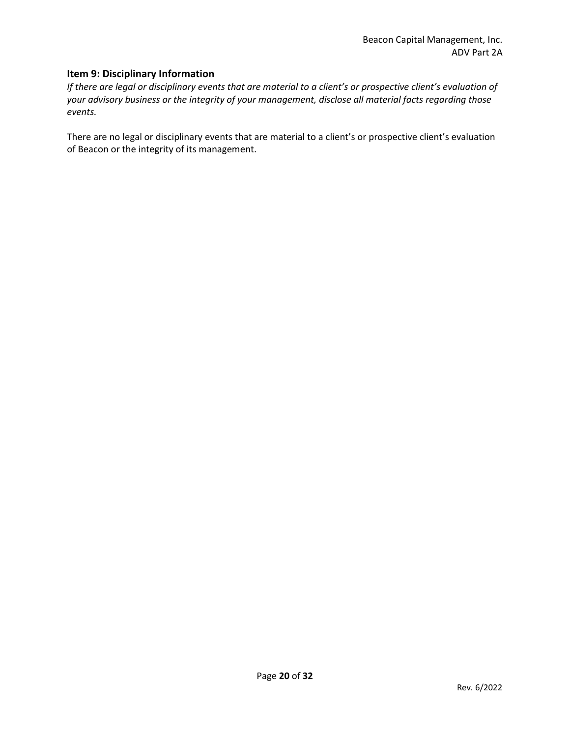# <span id="page-19-0"></span>**Item 9: Disciplinary Information**

*If there are legal or disciplinary events that are material to a client's or prospective client's evaluation of your advisory business or the integrity of your management, disclose all material facts regarding those events.*

There are no legal or disciplinary events that are material to a client's or prospective client's evaluation of Beacon or the integrity of its management.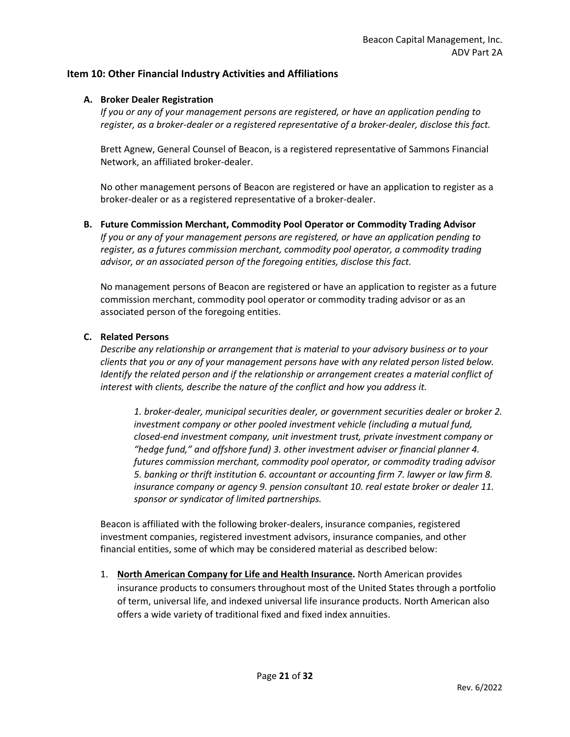# <span id="page-20-0"></span>**Item 10: Other Financial Industry Activities and Affiliations**

### **A. Broker Dealer Registration**

*If you or any of your management persons are registered, or have an application pending to register, as a broker-dealer or a registered representative of a broker-dealer, disclose this fact.*

Brett Agnew, General Counsel of Beacon, is a registered representative of Sammons Financial Network, an affiliated broker-dealer.

No other management persons of Beacon are registered or have an application to register as a broker-dealer or as a registered representative of a broker-dealer.

**B. Future Commission Merchant, Commodity Pool Operator or Commodity Trading Advisor**  *If you or any of your management persons are registered, or have an application pending to register, as a futures commission merchant, commodity pool operator, a commodity trading advisor, or an associated person of the foregoing entities, disclose this fact.*

No management persons of Beacon are registered or have an application to register as a future commission merchant, commodity pool operator or commodity trading advisor or as an associated person of the foregoing entities.

#### **C. Related Persons**

*Describe any relationship or arrangement that is material to your advisory business or to your clients that you or any of your management persons have with any related person listed below. Identify the related person and if the relationship or arrangement creates a material conflict of interest with clients, describe the nature of the conflict and how you address it.* 

*1. broker-dealer, municipal securities dealer, or government securities dealer or broker 2. investment company or other pooled investment vehicle (including a mutual fund, closed-end investment company, unit investment trust, private investment company or "hedge fund," and offshore fund) 3. other investment adviser or financial planner 4. futures commission merchant, commodity pool operator, or commodity trading advisor 5. banking or thrift institution 6. accountant or accounting firm 7. lawyer or law firm 8. insurance company or agency 9. pension consultant 10. real estate broker or dealer 11. sponsor or syndicator of limited partnerships.*

Beacon is affiliated with the following broker-dealers, insurance companies, registered investment companies, registered investment advisors, insurance companies, and other financial entities, some of which may be considered material as described below:

1. **North American Company for Life and Health Insurance.** North American provides insurance products to consumers throughout most of the United States through a portfolio of term, universal life, and indexed universal life insurance products. North American also offers a wide variety of traditional fixed and fixed index annuities.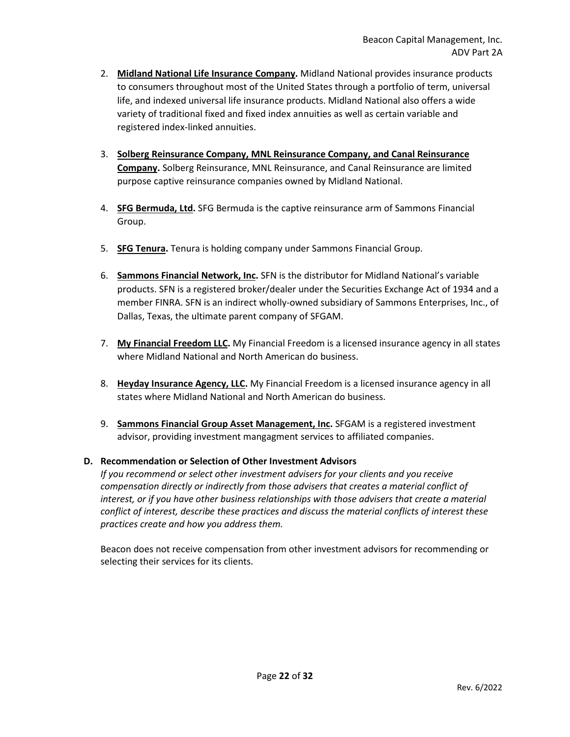- 2. **Midland National Life Insurance Company.** Midland National provides insurance products to consumers throughout most of the United States through a portfolio of term, universal life, and indexed universal life insurance products. Midland National also offers a wide variety of traditional fixed and fixed index annuities as well as certain variable and registered index-linked annuities.
- 3. **Solberg Reinsurance Company, MNL Reinsurance Company, and Canal Reinsurance Company.** Solberg Reinsurance, MNL Reinsurance, and Canal Reinsurance are limited purpose captive reinsurance companies owned by Midland National.
- 4. **SFG Bermuda, Ltd.** SFG Bermuda is the captive reinsurance arm of Sammons Financial Group.
- 5. **SFG Tenura.** Tenura is holding company under Sammons Financial Group.
- 6. **Sammons Financial Network, Inc.** SFN is the distributor for Midland National's variable products. SFN is a registered broker/dealer under the Securities Exchange Act of 1934 and a member FINRA. SFN is an indirect wholly-owned subsidiary of Sammons Enterprises, Inc., of Dallas, Texas, the ultimate parent company of SFGAM.
- 7. **My Financial Freedom LLC.** My Financial Freedom is a licensed insurance agency in all states where Midland National and North American do business.
- 8. **Heyday Insurance Agency, LLC.** My Financial Freedom is a licensed insurance agency in all states where Midland National and North American do business.
- 9. **Sammons Financial Group Asset Management, Inc.** SFGAM is a registered investment advisor, providing investment mangagment services to affiliated companies.

# **D. Recommendation or Selection of Other Investment Advisors**

*If you recommend or select other investment advisers for your clients and you receive compensation directly or indirectly from those advisers that creates a material conflict of interest, or if you have other business relationships with those advisers that create a material conflict of interest, describe these practices and discuss the material conflicts of interest these practices create and how you address them.*

Beacon does not receive compensation from other investment advisors for recommending or selecting their services for its clients.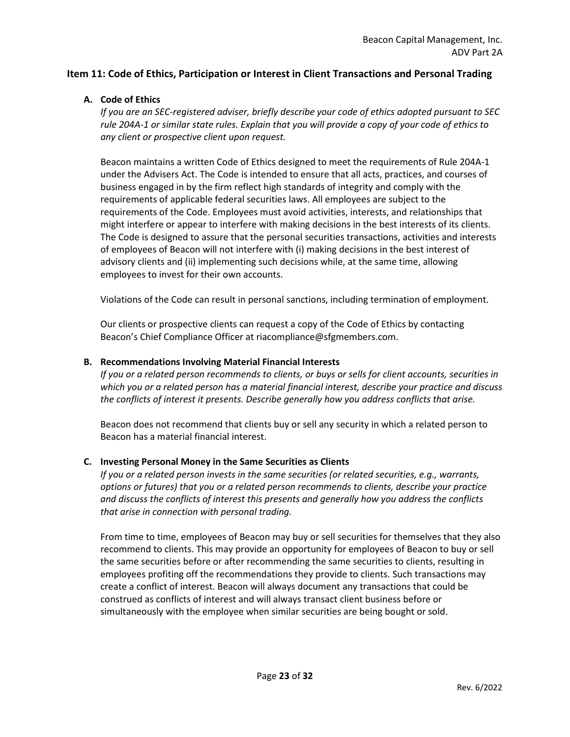# <span id="page-22-0"></span>**Item 11: Code of Ethics, Participation or Interest in Client Transactions and Personal Trading**

# **A. Code of Ethics**

*If you are an SEC-registered adviser, briefly describe your code of ethics adopted pursuant to SEC rule 204A-1 or similar state rules. Explain that you will provide a copy of your code of ethics to any client or prospective client upon request.*

Beacon maintains a written Code of Ethics designed to meet the requirements of Rule 204A-1 under the Advisers Act. The Code is intended to ensure that all acts, practices, and courses of business engaged in by the firm reflect high standards of integrity and comply with the requirements of applicable federal securities laws. All employees are subject to the requirements of the Code. Employees must avoid activities, interests, and relationships that might interfere or appear to interfere with making decisions in the best interests of its clients. The Code is designed to assure that the personal securities transactions, activities and interests of employees of Beacon will not interfere with (i) making decisions in the best interest of advisory clients and (ii) implementing such decisions while, at the same time, allowing employees to invest for their own accounts.

Violations of the Code can result in personal sanctions, including termination of employment.

Our clients or prospective clients can request a copy of the Code of Ethics by contacting Beacon's Chief Compliance Officer at riacompliance@sfgmembers.com.

#### **B. Recommendations Involving Material Financial Interests**

*If you or a related person recommends to clients, or buys or sells for client accounts, securities in which you or a related person has a material financial interest, describe your practice and discuss the conflicts of interest it presents. Describe generally how you address conflicts that arise.*

Beacon does not recommend that clients buy or sell any security in which a related person to Beacon has a material financial interest.

#### **C. Investing Personal Money in the Same Securities as Clients**

*If you or a related person invests in the same securities (or related securities, e.g., warrants, options or futures) that you or a related person recommends to clients, describe your practice and discuss the conflicts of interest this presents and generally how you address the conflicts that arise in connection with personal trading.*

From time to time, employees of Beacon may buy or sell securities for themselves that they also recommend to clients. This may provide an opportunity for employees of Beacon to buy or sell the same securities before or after recommending the same securities to clients, resulting in employees profiting off the recommendations they provide to clients. Such transactions may create a conflict of interest. Beacon will always document any transactions that could be construed as conflicts of interest and will always transact client business before or simultaneously with the employee when similar securities are being bought or sold.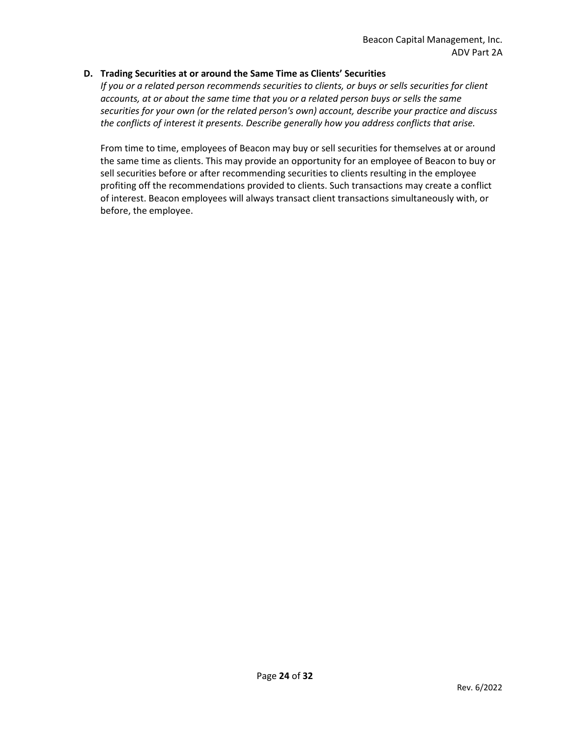# **D. Trading Securities at or around the Same Time as Clients' Securities**

*If you or a related person recommends securities to clients, or buys or sells securities for client accounts, at or about the same time that you or a related person buys or sells the same securities for your own (or the related person's own) account, describe your practice and discuss the conflicts of interest it presents. Describe generally how you address conflicts that arise.*

From time to time, employees of Beacon may buy or sell securities for themselves at or around the same time as clients. This may provide an opportunity for an employee of Beacon to buy or sell securities before or after recommending securities to clients resulting in the employee profiting off the recommendations provided to clients. Such transactions may create a conflict of interest. Beacon employees will always transact client transactions simultaneously with, or before, the employee.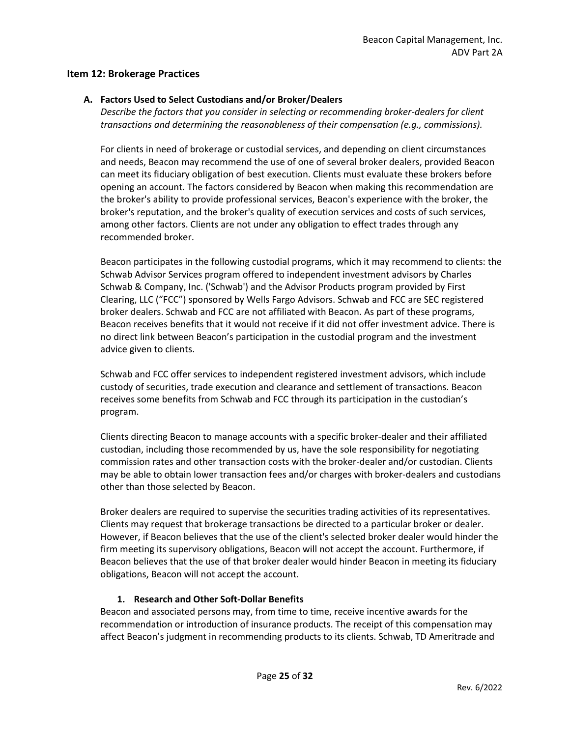# <span id="page-24-0"></span>**Item 12: Brokerage Practices**

# **A. Factors Used to Select Custodians and/or Broker/Dealers**

*Describe the factors that you consider in selecting or recommending broker-dealers for client transactions and determining the reasonableness of their compensation (e.g., commissions).*

For clients in need of brokerage or custodial services, and depending on client circumstances and needs, Beacon may recommend the use of one of several broker dealers, provided Beacon can meet its fiduciary obligation of best execution. Clients must evaluate these brokers before opening an account. The factors considered by Beacon when making this recommendation are the broker's ability to provide professional services, Beacon's experience with the broker, the broker's reputation, and the broker's quality of execution services and costs of such services, among other factors. Clients are not under any obligation to effect trades through any recommended broker.

Beacon participates in the following custodial programs, which it may recommend to clients: the Schwab Advisor Services program offered to independent investment advisors by Charles Schwab & Company, Inc. ('Schwab') and the Advisor Products program provided by First Clearing, LLC ("FCC") sponsored by Wells Fargo Advisors. Schwab and FCC are SEC registered broker dealers. Schwab and FCC are not affiliated with Beacon. As part of these programs, Beacon receives benefits that it would not receive if it did not offer investment advice. There is no direct link between Beacon's participation in the custodial program and the investment advice given to clients.

Schwab and FCC offer services to independent registered investment advisors, which include custody of securities, trade execution and clearance and settlement of transactions. Beacon receives some benefits from Schwab and FCC through its participation in the custodian's program.

Clients directing Beacon to manage accounts with a specific broker-dealer and their affiliated custodian, including those recommended by us, have the sole responsibility for negotiating commission rates and other transaction costs with the broker-dealer and/or custodian. Clients may be able to obtain lower transaction fees and/or charges with broker-dealers and custodians other than those selected by Beacon.

Broker dealers are required to supervise the securities trading activities of its representatives. Clients may request that brokerage transactions be directed to a particular broker or dealer. However, if Beacon believes that the use of the client's selected broker dealer would hinder the firm meeting its supervisory obligations, Beacon will not accept the account. Furthermore, if Beacon believes that the use of that broker dealer would hinder Beacon in meeting its fiduciary obligations, Beacon will not accept the account.

# **1. Research and Other Soft-Dollar Benefits**

Beacon and associated persons may, from time to time, receive incentive awards for the recommendation or introduction of insurance products. The receipt of this compensation may affect Beacon's judgment in recommending products to its clients. Schwab, TD Ameritrade and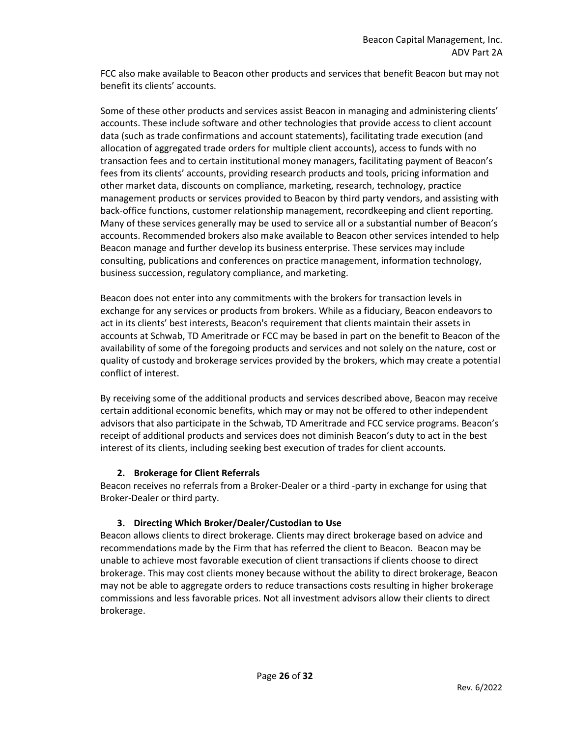FCC also make available to Beacon other products and services that benefit Beacon but may not benefit its clients' accounts.

Some of these other products and services assist Beacon in managing and administering clients' accounts. These include software and other technologies that provide access to client account data (such as trade confirmations and account statements), facilitating trade execution (and allocation of aggregated trade orders for multiple client accounts), access to funds with no transaction fees and to certain institutional money managers, facilitating payment of Beacon's fees from its clients' accounts, providing research products and tools, pricing information and other market data, discounts on compliance, marketing, research, technology, practice management products or services provided to Beacon by third party vendors, and assisting with back-office functions, customer relationship management, recordkeeping and client reporting. Many of these services generally may be used to service all or a substantial number of Beacon's accounts. Recommended brokers also make available to Beacon other services intended to help Beacon manage and further develop its business enterprise. These services may include consulting, publications and conferences on practice management, information technology, business succession, regulatory compliance, and marketing.

Beacon does not enter into any commitments with the brokers for transaction levels in exchange for any services or products from brokers. While as a fiduciary, Beacon endeavors to act in its clients' best interests, Beacon's requirement that clients maintain their assets in accounts at Schwab, TD Ameritrade or FCC may be based in part on the benefit to Beacon of the availability of some of the foregoing products and services and not solely on the nature, cost or quality of custody and brokerage services provided by the brokers, which may create a potential conflict of interest.

By receiving some of the additional products and services described above, Beacon may receive certain additional economic benefits, which may or may not be offered to other independent advisors that also participate in the Schwab, TD Ameritrade and FCC service programs. Beacon's receipt of additional products and services does not diminish Beacon's duty to act in the best interest of its clients, including seeking best execution of trades for client accounts.

# **2. Brokerage for Client Referrals**

Beacon receives no referrals from a Broker-Dealer or a third -party in exchange for using that Broker-Dealer or third party.

# **3. Directing Which Broker/Dealer/Custodian to Use**

Beacon allows clients to direct brokerage. Clients may direct brokerage based on advice and recommendations made by the Firm that has referred the client to Beacon. Beacon may be unable to achieve most favorable execution of client transactions if clients choose to direct brokerage. This may cost clients money because without the ability to direct brokerage, Beacon may not be able to aggregate orders to reduce transactions costs resulting in higher brokerage commissions and less favorable prices. Not all investment advisors allow their clients to direct brokerage.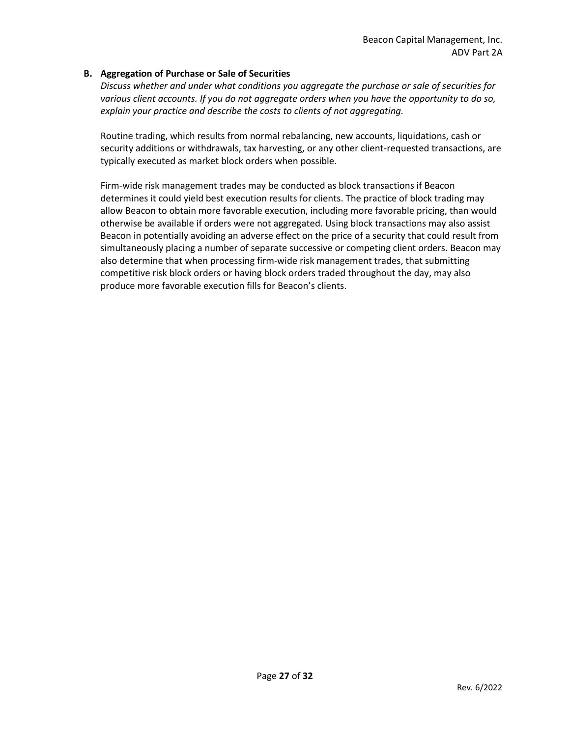### **B. Aggregation of Purchase or Sale of Securities**

*Discuss whether and under what conditions you aggregate the purchase or sale of securities for various client accounts. If you do not aggregate orders when you have the opportunity to do so, explain your practice and describe the costs to clients of not aggregating.*

Routine trading, which results from normal rebalancing, new accounts, liquidations, cash or security additions or withdrawals, tax harvesting, or any other client-requested transactions, are typically executed as market block orders when possible.

Firm-wide risk management trades may be conducted as block transactions if Beacon determines it could yield best execution results for clients. The practice of block trading may allow Beacon to obtain more favorable execution, including more favorable pricing, than would otherwise be available if orders were not aggregated. Using block transactions may also assist Beacon in potentially avoiding an adverse effect on the price of a security that could result from simultaneously placing a number of separate successive or competing client orders. Beacon may also determine that when processing firm-wide risk management trades, that submitting competitive risk block orders or having block orders traded throughout the day, may also produce more favorable execution fills for Beacon's clients.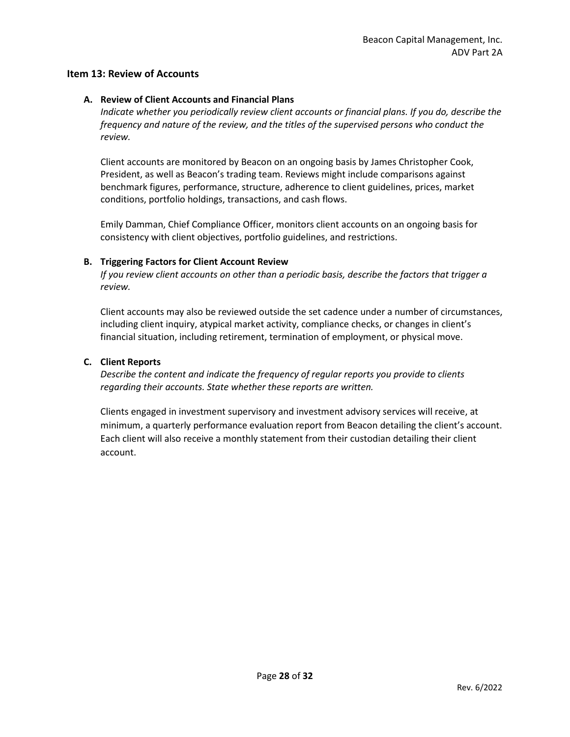# <span id="page-27-0"></span>**Item 13: Review of Accounts**

# **A. Review of Client Accounts and Financial Plans**

*Indicate whether you periodically review client accounts or financial plans. If you do, describe the frequency and nature of the review, and the titles of the supervised persons who conduct the review.*

Client accounts are monitored by Beacon on an ongoing basis by James Christopher Cook, President, as well as Beacon's trading team. Reviews might include comparisons against benchmark figures, performance, structure, adherence to client guidelines, prices, market conditions, portfolio holdings, transactions, and cash flows.

Emily Damman, Chief Compliance Officer, monitors client accounts on an ongoing basis for consistency with client objectives, portfolio guidelines, and restrictions.

#### **B. Triggering Factors for Client Account Review**

*If you review client accounts on other than a periodic basis, describe the factors that trigger a review.*

Client accounts may also be reviewed outside the set cadence under a number of circumstances, including client inquiry, atypical market activity, compliance checks, or changes in client's financial situation, including retirement, termination of employment, or physical move.

# **C. Client Reports**

*Describe the content and indicate the frequency of regular reports you provide to clients regarding their accounts. State whether these reports are written.*

Clients engaged in investment supervisory and investment advisory services will receive, at minimum, a quarterly performance evaluation report from Beacon detailing the client's account. Each client will also receive a monthly statement from their custodian detailing their client account.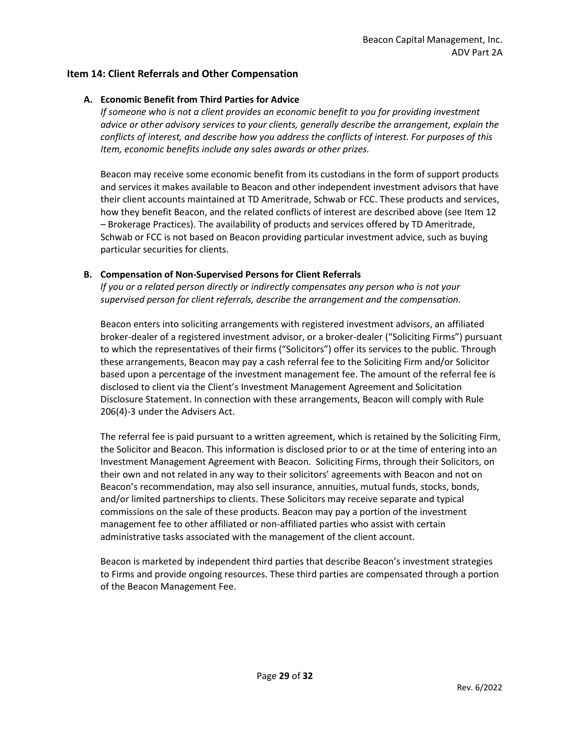# <span id="page-28-0"></span>**Item 14: Client Referrals and Other Compensation**

### **A. Economic Benefit from Third Parties for Advice**

*If someone who is not a client provides an economic benefit to you for providing investment advice or other advisory services to your clients, generally describe the arrangement, explain the conflicts of interest, and describe how you address the conflicts of interest. For purposes of this Item, economic benefits include any sales awards or other prizes.*

Beacon may receive some economic benefit from its custodians in the form of support products and services it makes available to Beacon and other independent investment advisors that have their client accounts maintained at TD Ameritrade, Schwab or FCC. These products and services, how they benefit Beacon, and the related conflicts of interest are described above (see Item 12 – Brokerage Practices). The availability of products and services offered by TD Ameritrade, Schwab or FCC is not based on Beacon providing particular investment advice, such as buying particular securities for clients.

# **B. Compensation of Non-Supervised Persons for Client Referrals**

*If you or a related person directly or indirectly compensates any person who is not your supervised person for client referrals, describe the arrangement and the compensation.*

Beacon enters into soliciting arrangements with registered investment advisors, an affiliated broker-dealer of a registered investment advisor, or a broker-dealer ("Soliciting Firms") pursuant to which the representatives of their firms ("Solicitors") offer its services to the public. Through these arrangements, Beacon may pay a cash referral fee to the Soliciting Firm and/or Solicitor based upon a percentage of the investment management fee. The amount of the referral fee is disclosed to client via the Client's Investment Management Agreement and Solicitation Disclosure Statement. In connection with these arrangements, Beacon will comply with Rule 206(4)-3 under the Advisers Act.

The referral fee is paid pursuant to a written agreement, which is retained by the Soliciting Firm, the Solicitor and Beacon. This information is disclosed prior to or at the time of entering into an Investment Management Agreement with Beacon. Soliciting Firms, through their Solicitors, on their own and not related in any way to their solicitors' agreements with Beacon and not on Beacon's recommendation, may also sell insurance, annuities, mutual funds, stocks, bonds, and/or limited partnerships to clients. These Solicitors may receive separate and typical commissions on the sale of these products. Beacon may pay a portion of the investment management fee to other affiliated or non-affiliated parties who assist with certain administrative tasks associated with the management of the client account.

Beacon is marketed by independent third parties that describe Beacon's investment strategies to Firms and provide ongoing resources. These third parties are compensated through a portion of the Beacon Management Fee.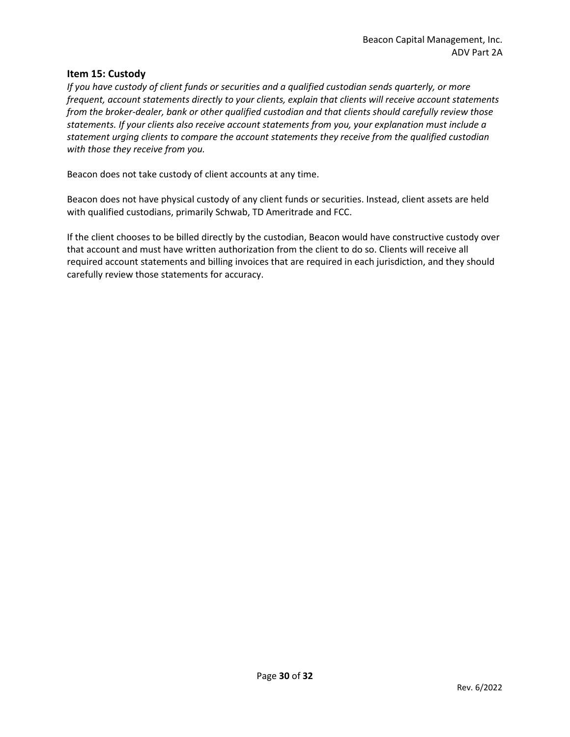#### <span id="page-29-0"></span>**Item 15: Custody**

*If you have custody of client funds or securities and a qualified custodian sends quarterly, or more frequent, account statements directly to your clients, explain that clients will receive account statements from the broker-dealer, bank or other qualified custodian and that clients should carefully review those statements. If your clients also receive account statements from you, your explanation must include a statement urging clients to compare the account statements they receive from the qualified custodian with those they receive from you.*

Beacon does not take custody of client accounts at any time.

Beacon does not have physical custody of any client funds or securities. Instead, client assets are held with qualified custodians, primarily Schwab, TD Ameritrade and FCC.

If the client chooses to be billed directly by the custodian, Beacon would have constructive custody over that account and must have written authorization from the client to do so. Clients will receive all required account statements and billing invoices that are required in each jurisdiction, and they should carefully review those statements for accuracy.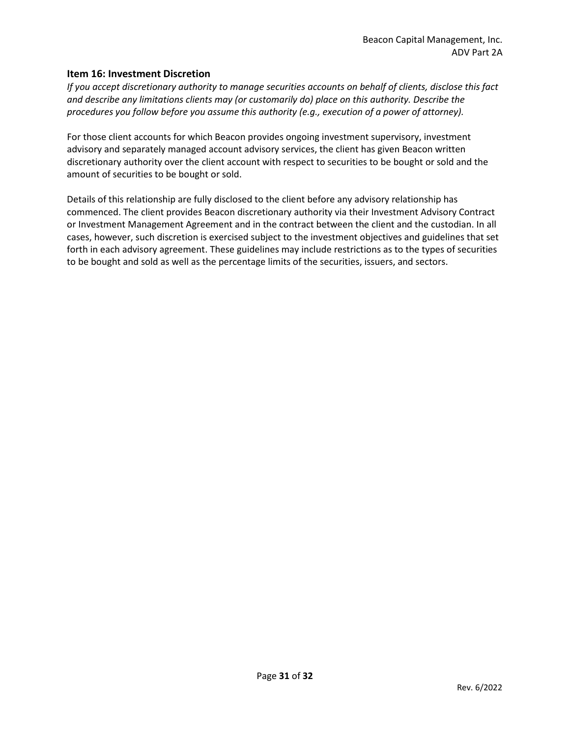### <span id="page-30-0"></span>**Item 16: Investment Discretion**

*If you accept discretionary authority to manage securities accounts on behalf of clients, disclose this fact and describe any limitations clients may (or customarily do) place on this authority. Describe the procedures you follow before you assume this authority (e.g., execution of a power of attorney).*

For those client accounts for which Beacon provides ongoing investment supervisory, investment advisory and separately managed account advisory services, the client has given Beacon written discretionary authority over the client account with respect to securities to be bought or sold and the amount of securities to be bought or sold.

Details of this relationship are fully disclosed to the client before any advisory relationship has commenced. The client provides Beacon discretionary authority via their Investment Advisory Contract or Investment Management Agreement and in the contract between the client and the custodian. In all cases, however, such discretion is exercised subject to the investment objectives and guidelines that set forth in each advisory agreement. These guidelines may include restrictions as to the types of securities to be bought and sold as well as the percentage limits of the securities, issuers, and sectors.